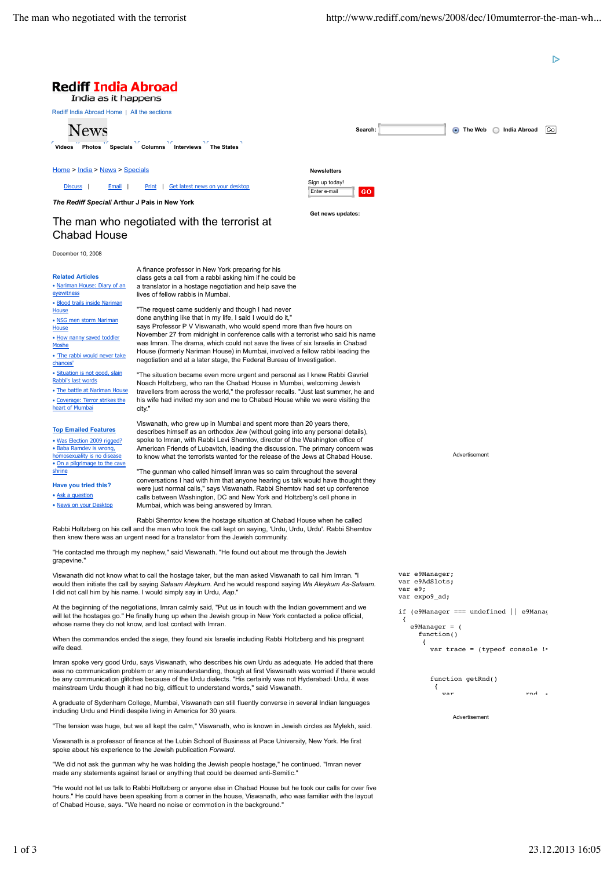